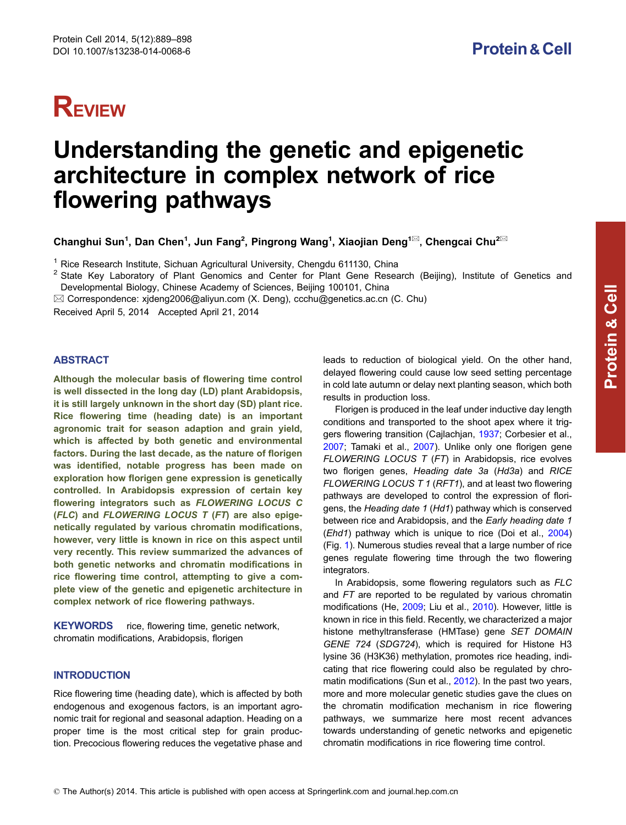# **REVIEW**

# Understanding the genetic and epigenetic architecture in complex network of rice flowering pathways

Changhui Sun<sup>1</sup>, Dan Chen<sup>1</sup>, Jun Fang<sup>2</sup>, Pingrong Wang<sup>1</sup>, Xiaojian Deng<sup>1⊠</sup>, Chengcai Chu<sup>2⊠</sup>

<sup>1</sup> Rice Research Institute, Sichuan Agricultural University, Chengdu 611130, China

<sup>2</sup> State Key Laboratory of Plant Genomics and Center for Plant Gene Research (Beijing), Institute of Genetics and Developmental Biology, Chinese Academy of Sciences, Beijing 100101, China

 $\boxtimes$  Correspondence: xjdeng2006@aliyun.com (X. Deng), ccchu@genetics.ac.cn (C. Chu)

Received April 5, 2014 Accepted April 21, 2014

# ABSTRACT

Although the molecular basis of flowering time control is well dissected in the long day (LD) plant Arabidopsis, it is still largely unknown in the short day (SD) plant rice. Rice flowering time (heading date) is an important agronomic trait for season adaption and grain yield, which is affected by both genetic and environmental factors. During the last decade, as the nature of florigen was identified, notable progress has been made on exploration how florigen gene expression is genetically controlled. In Arabidopsis expression of certain key flowering integrators such as FLOWERING LOCUS C (FLC) and FLOWERING LOCUS T (FT) are also epigenetically regulated by various chromatin modifications, however, very little is known in rice on this aspect until very recently. This review summarized the advances of both genetic networks and chromatin modifications in rice flowering time control, attempting to give a complete view of the genetic and epigenetic architecture in complex network of rice flowering pathways.

KEYWORDS rice, flowering time, genetic network, chromatin modifications, Arabidopsis, florigen

# **INTRODUCTION**

Rice flowering time (heading date), which is affected by both endogenous and exogenous factors, is an important agronomic trait for regional and seasonal adaption. Heading on a proper time is the most critical step for grain production. Precocious flowering reduces the vegetative phase and

leads to reduction of biological yield. On the other hand, delayed flowering could cause low seed setting percentage in cold late autumn or delay next planting season, which both results in production loss.

Florigen is produced in the leaf under inductive day length conditions and transported to the shoot apex where it triggers flowering transition (Cajlachjan, [1937](#page-7-0); Corbesier et al., [2007](#page-7-0); Tamaki et al., [2007](#page-9-0)). Unlike only one florigen gene FLOWERING LOCUS  $T$  (FT) in Arabidopsis, rice evolves two florigen genes, Heading date 3a (Hd3a) and RICE FLOWERING LOCUS T 1 (RFT1), and at least two flowering pathways are developed to control the expression of florigens, the Heading date 1 (Hd1) pathway which is conserved between rice and Arabidopsis, and the Early heading date 1 (Ehd1) pathway which is unique to rice (Doi et al., [2004](#page-7-0)) (Fig. [1\)](#page-1-0). Numerous studies reveal that a large number of rice genes regulate flowering time through the two flowering integrators.

In Arabidopsis, some flowering regulators such as FLC and FT are reported to be regulated by various chromatin modifications (He, [2009;](#page-8-0) Liu et al., [2010\)](#page-8-0). However, little is known in rice in this field. Recently, we characterized a major histone methyltransferase (HMTase) gene SET DOMAIN GENE 724 (SDG724), which is required for Histone H3 lysine 36 (H3K36) methylation, promotes rice heading, indicating that rice flowering could also be regulated by chromatin modifications (Sun et al., [2012\)](#page-9-0). In the past two years, more and more molecular genetic studies gave the clues on the chromatin modification mechanism in rice flowering pathways, we summarize here most recent advances towards understanding of genetic networks and epigenetic chromatin modifications in rice flowering time control.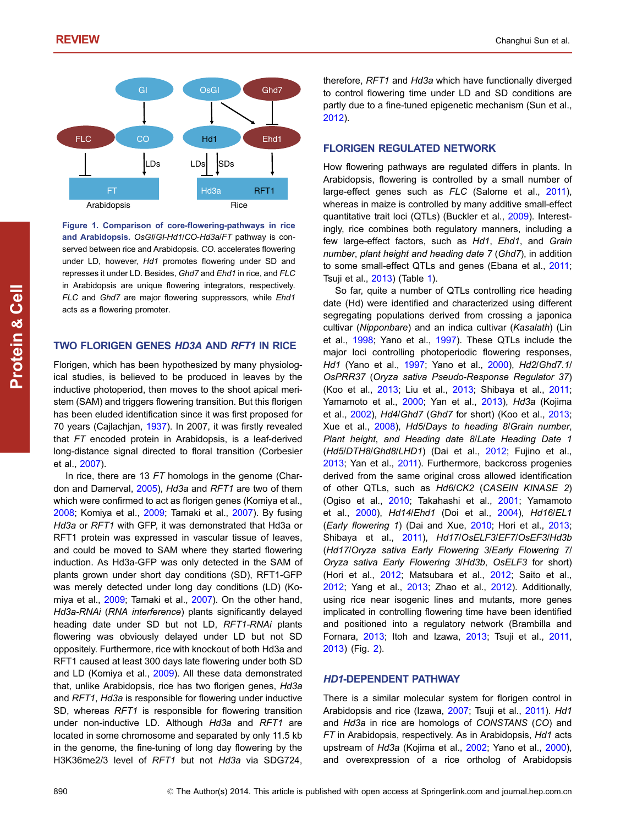<span id="page-1-0"></span>

Figure 1. Comparison of core-flowering-pathways in rice and Arabidopsis. OsGI/GI-Hd1/CO-Hd3a/FT pathway is conserved between rice and Arabidopsis. CO. accelerates flowering under LD, however, Hd1 promotes flowering under SD and represses it under LD. Besides, Ghd7 and Ehd1 in rice, and FLC in Arabidopsis are unique flowering integrators, respectively. FLC and Ghd7 are major flowering suppressors, while Ehd1 acts as a flowering promoter.

### TWO FLORIGEN GENES HD3A AND RFT1 IN RICE

Florigen, which has been hypothesized by many physiological studies, is believed to be produced in leaves by the inductive photoperiod, then moves to the shoot apical meristem (SAM) and triggers flowering transition. But this florigen has been eluded identification since it was first proposed for 70 years (Cajlachjan, [1937\)](#page-7-0). In 2007, it was firstly revealed that FT encoded protein in Arabidopsis, is a leaf-derived long-distance signal directed to floral transition (Corbesier et al., [2007\)](#page-7-0).

In rice, there are 13 FT homologs in the genome (Char-don and Damerval, [2005\)](#page-7-0), Hd3a and RFT1 are two of them which were confirmed to act as florigen genes (Komiya et al., [2008;](#page-8-0) Komiya et al., [2009;](#page-8-0) Tamaki et al., [2007\)](#page-9-0). By fusing Hd3a or RFT1 with GFP, it was demonstrated that Hd3a or RFT1 protein was expressed in vascular tissue of leaves, and could be moved to SAM where they started flowering induction. As Hd3a-GFP was only detected in the SAM of plants grown under short day conditions (SD), RFT1-GFP was merely detected under long day conditions (LD) (Komiya et al., [2009;](#page-8-0) Tamaki et al., [2007](#page-9-0)). On the other hand, Hd3a-RNAi (RNA interference) plants significantly delayed heading date under SD but not LD, RFT1-RNAi plants flowering was obviously delayed under LD but not SD oppositely. Furthermore, rice with knockout of both Hd3a and RFT1 caused at least 300 days late flowering under both SD and LD (Komiya et al., [2009\)](#page-8-0). All these data demonstrated that, unlike Arabidopsis, rice has two florigen genes, Hd3a and RFT1, Hd3a is responsible for flowering under inductive SD, whereas RFT1 is responsible for flowering transition under non-inductive LD. Although Hd3a and RFT1 are located in some chromosome and separated by only 11.5 kb in the genome, the fine-tuning of long day flowering by the H3K36me2/3 level of RFT1 but not Hd3a via SDG724,

therefore, RFT1 and Hd3a which have functionally diverged to control flowering time under LD and SD conditions are partly due to a fine-tuned epigenetic mechanism (Sun et al., [2012](#page-9-0)).

#### FLORIGEN REGULATED NETWORK

How flowering pathways are regulated differs in plants. In Arabidopsis, flowering is controlled by a small number of large-effect genes such as FLC (Salome et al., [2011\)](#page-9-0), whereas in maize is controlled by many additive small-effect quantitative trait loci (QTLs) (Buckler et al., [2009](#page-7-0)). Interestingly, rice combines both regulatory manners, including a few large-effect factors, such as Hd1, Ehd1, and Grain number, plant height and heading date 7 (Ghd7), in addition to some small-effect QTLs and genes (Ebana et al., [2011;](#page-7-0) Tsuji et al., [2013](#page-9-0)) (Table [1](#page-2-0)).

So far, quite a number of QTLs controlling rice heading date (Hd) were identified and characterized using different segregating populations derived from crossing a japonica cultivar (Nipponbare) and an indica cultivar (Kasalath) (Lin et al., [1998](#page-8-0); Yano et al., [1997](#page-9-0)). These QTLs include the major loci controlling photoperiodic flowering responses, Hd1 (Yano et al., [1997](#page-9-0); Yano et al., [2000](#page-9-0)), Hd2/Ghd7.1/ OsPRR37 (Oryza sativa Pseudo-Response Regulator 37) (Koo et al., [2013;](#page-8-0) Liu et al., [2013;](#page-8-0) Shibaya et al., [2011;](#page-9-0) Yamamoto et al., [2000;](#page-9-0) Yan et al., [2013](#page-9-0)), Hd3a (Kojima et al., [2002](#page-8-0)), Hd4/Ghd7 (Ghd7 for short) (Koo et al., [2013;](#page-8-0) Xue et al., [2008](#page-9-0)), Hd5/Days to heading 8/Grain number, Plant height, and Heading date 8/Late Heading Date 1 (Hd5/DTH8/Ghd8/LHD1) (Dai et al., [2012](#page-7-0); Fujino et al., [2013](#page-7-0); Yan et al., [2011\)](#page-9-0). Furthermore, backcross progenies derived from the same original cross allowed identification of other QTLs, such as Hd6/CK2 (CASEIN KINASE 2) (Ogiso et al., [2010;](#page-8-0) Takahashi et al., [2001;](#page-9-0) Yamamoto et al., [2000](#page-9-0)), Hd14/Ehd1 (Doi et al., [2004](#page-7-0)), Hd16/EL1 (Early flowering 1) (Dai and Xue, [2010;](#page-7-0) Hori et al., [2013;](#page-8-0) Shibaya et al., [2011\)](#page-9-0), Hd17/OsELF3/EF7/OsEF3/Hd3b (Hd17/Oryza sativa Early Flowering 3/Early Flowering 7/ Oryza sativa Early Flowering 3/Hd3b, OsELF3 for short) (Hori et al., [2012;](#page-8-0) Matsubara et al., [2012](#page-8-0); Saito et al., [2012](#page-9-0); Yang et al., [2013](#page-9-0); Zhao et al., [2012](#page-9-0)). Additionally, using rice near isogenic lines and mutants, more genes implicated in controlling flowering time have been identified and positioned into a regulatory network (Brambilla and Fornara, [2013;](#page-7-0) Itoh and Izawa, [2013](#page-8-0); Tsuji et al., [2011,](#page-9-0) [2013](#page-9-0)) (Fig. [2](#page-3-0)).

# HD1-DEPENDENT PATHWAY

There is a similar molecular system for florigen control in Arabidopsis and rice (Izawa, [2007](#page-8-0); Tsuji et al., [2011\)](#page-9-0). Hd1 and Hd3a in rice are homologs of CONSTANS (CO) and FT in Arabidopsis, respectively. As in Arabidopsis, Hd1 acts upstream of Hd3a (Kojima et al., [2002](#page-8-0); Yano et al., [2000\)](#page-9-0), and overexpression of a rice ortholog of Arabidopsis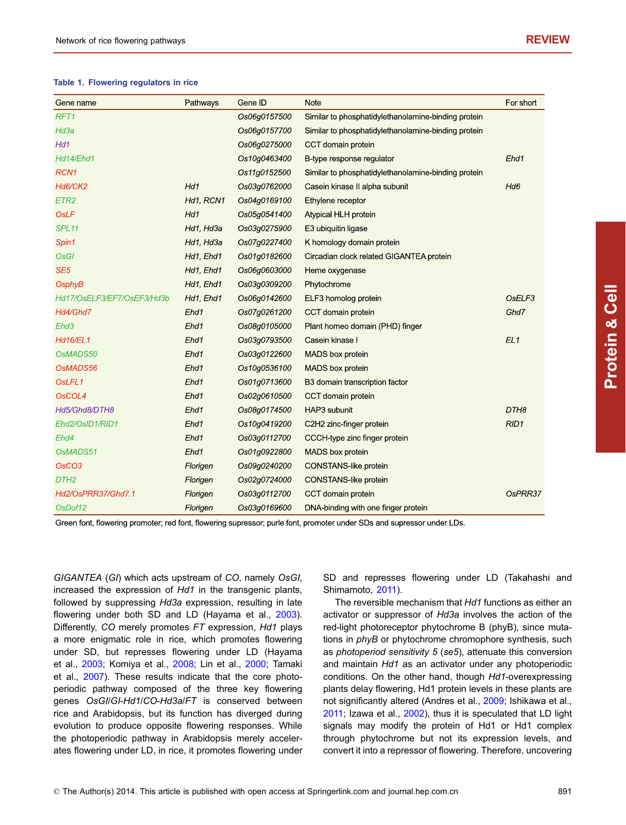#### <span id="page-2-0"></span>Table 1. Flowering regulators in rice

| Gene name                  | Pathways  | Gene ID      | <b>Note</b>                                         | For short        |
|----------------------------|-----------|--------------|-----------------------------------------------------|------------------|
| RFT <sub>1</sub>           |           | Os06g0157500 | Similar to phosphatidylethanolamine-binding protein |                  |
| Hd3a                       |           | Os06g0157700 | Similar to phosphatidylethanolamine-binding protein |                  |
| Hd1                        |           | Os06g0275000 | CCT domain protein                                  |                  |
| Hd14/Ehd1                  |           | Os10g0463400 | B-type response regulator                           | Ehd1             |
| RCN <sub>1</sub>           |           | Os11g0152500 | Similar to phosphatidylethanolamine-binding protein |                  |
| Hd6/CK2                    | Hd1       | Os03g0762000 | Casein kinase II alpha subunit                      | Hd6              |
| ETR <sub>2</sub>           | Hd1, RCN1 | Os04g0169100 | Ethylene receptor                                   |                  |
| <b>OsLF</b>                | Hd1       | Os05g0541400 | Atypical HLH protein                                |                  |
| SPL <sub>11</sub>          | Hd1, Hd3a | Os03q0275900 | E3 ubiquitin ligase                                 |                  |
| Spin1                      | Hd1, Hd3a | Os07g0227400 | K homology domain protein                           |                  |
| <b>OsGI</b>                | Hd1, Ehd1 | Os01g0182600 | Circadian clock related GIGANTEA protein            |                  |
| SE <sub>5</sub>            | Hd1, Ehd1 | Os06g0603000 | Heme oxygenase                                      |                  |
| OsphyB                     | Hd1, Ehd1 | Os03g0309200 | Phytochrome                                         |                  |
| Hd17/OsELF3/EF7/OsEF3/Hd3b | Hd1, Ehd1 | Os06g0142600 | ELF3 homolog protein                                | OsELF3           |
| Hd4/Ghd7                   | Ehd1      | Os07g0261200 | CCT domain protein                                  | Ghd7             |
| Ehd <sub>3</sub>           | Ehd1      | Os08g0105000 | Plant homeo domain (PHD) finger                     |                  |
| <b>Hd16/EL1</b>            | Ehd1      | Os03g0793500 | Casein kinase I                                     | EL1              |
| OsMADS50                   | Ehd1      | Os03g0122600 | <b>MADS</b> box protein                             |                  |
| OsMADS56                   | Ehd1      | Os10g0536100 | <b>MADS</b> box protein                             |                  |
| OsLFL1                     | Ehd1      | Os01g0713600 | B3 domain transcription factor                      |                  |
| OsCOL4                     | Ehd1      | Os02g0610500 | CCT domain protein                                  |                  |
| Hd5/Ghd8/DTH8              | Ehd1      | Os08g0174500 | HAP3 subunit                                        | DTH <sub>8</sub> |
| Ehd2/OsID1/RID1            | Ehd1      | Os10g0419200 | C2H2 zinc-finger protein                            | RID1             |
| Ehd4                       | Ehd1      | Os03g0112700 | CCCH-type zinc finger protein                       |                  |
| OsMADS51                   | Ehd1      | Os01g0922800 | <b>MADS</b> box protein                             |                  |
| OsCO <sub>3</sub>          | Florigen  | Os09g0240200 | CONSTANS-like protein                               |                  |
| DTH <sub>2</sub>           | Florigen  | Os02q0724000 | <b>CONSTANS-like protein</b>                        |                  |
| Hd2/OsPRR37/Ghd7.1         | Florigen  | Os03g0112700 | CCT domain protein                                  | OsPRR37          |
| OsDof12                    | Florigen  | Os03q0169600 | DNA-binding with one finger protein                 |                  |

Protein

& Cell

Green font, flowering promoter; red font, flowering supressor; purle font, promoter under SDs and supressor under LDs.

GIGANTEA (GI) which acts upstream of CO, namely OsGI, increased the expression of Hd1 in the transgenic plants, followed by suppressing Hd3a expression, resulting in late flowering under both SD and LD (Hayama et al., [2003](#page-7-0)). Differently, CO merely promotes FT expression, Hd1 plays a more enigmatic role in rice, which promotes flowering under SD, but represses flowering under LD (Hayama et al., [2003;](#page-7-0) Komiya et al., [2008](#page-8-0); Lin et al., [2000](#page-8-0); Tamaki et al., [2007](#page-9-0)). These results indicate that the core photoperiodic pathway composed of the three key flowering genes OsGI/GI-Hd1/CO-Hd3a/FT is conserved between rice and Arabidopsis, but its function has diverged during evolution to produce opposite flowering responses. While the photoperiodic pathway in Arabidopsis merely accelerates flowering under LD, in rice, it promotes flowering under

SD and represses flowering under LD (Takahashi and Shimamoto, [2011\)](#page-9-0).

The reversible mechanism that Hd1 functions as either an activator or suppressor of Hd3a involves the action of the red-light photoreceptor phytochrome B (phyB), since mutations in *phyB* or phytochrome chromophore synthesis, such as photoperiod sensitivity 5 (se5), attenuate this conversion and maintain Hd1 as an activator under any photoperiodic conditions. On the other hand, though Hd1-overexpressing plants delay flowering, Hd1 protein levels in these plants are not significantly altered (Andres et al., [2009;](#page-7-0) Ishikawa et al., [2011;](#page-8-0) Izawa et al., [2002\)](#page-8-0), thus it is speculated that LD light signals may modify the protein of Hd1 or Hd1 complex through phytochrome but not its expression levels, and convert it into a repressor of flowering. Therefore, uncovering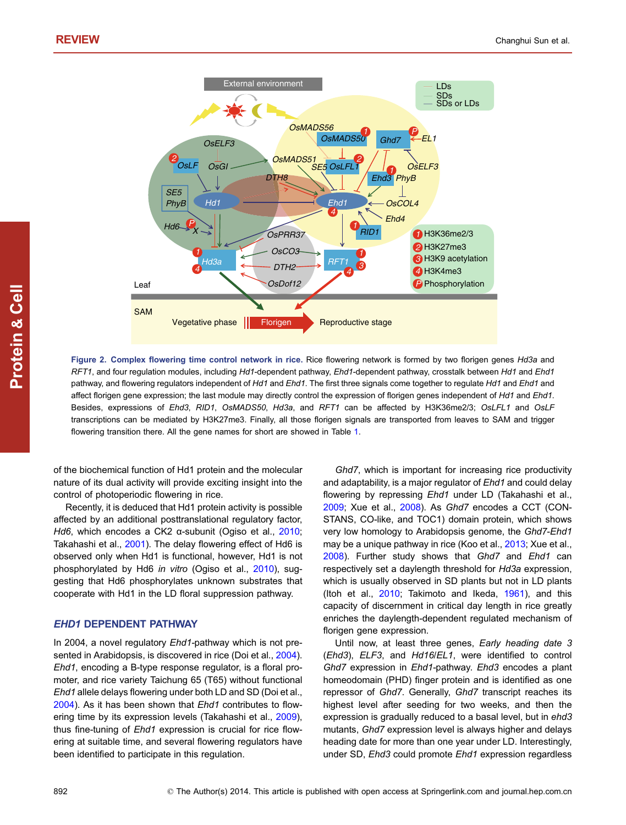<span id="page-3-0"></span>

Figure 2. Complex flowering time control network in rice. Rice flowering network is formed by two florigen genes Hd3a and RFT1, and four requlation modules, including Hd1-dependent pathway, Ehd1-dependent pathway, crosstalk between Hd1 and Ehd1 pathway, and flowering regulators independent of Hd1 and Ehd1. The first three signals come together to regulate Hd1 and Ehd1 and affect florigen gene expression; the last module may directly control the expression of florigen genes independent of Hd1 and Ehd1. Besides, expressions of Ehd3, RID1, OsMADS50, Hd3a, and RFT1 can be affected by H3K36me2/3; OsLFL1 and OsLF transcriptions can be mediated by H3K27me3. Finally, all those florigen signals are transported from leaves to SAM and trigger flowering transition there. All the gene names for short are showed in Table [1](#page-2-0).

of the biochemical function of Hd1 protein and the molecular nature of its dual activity will provide exciting insight into the control of photoperiodic flowering in rice.

Recently, it is deduced that Hd1 protein activity is possible affected by an additional posttranslational regulatory factor, Hd6, which encodes a CK2 α-subunit (Ogiso et al., [2010](#page-8-0); Takahashi et al., [2001\)](#page-9-0). The delay flowering effect of Hd6 is observed only when Hd1 is functional, however, Hd1 is not phosphorylated by Hd6 in vitro (Ogiso et al., [2010\)](#page-8-0), suggesting that Hd6 phosphorylates unknown substrates that cooperate with Hd1 in the LD floral suppression pathway.

# EHD1 DEPENDENT PATHWAY

In 2004, a novel regulatory Ehd1-pathway which is not presented in Arabidopsis, is discovered in rice (Doi et al., [2004](#page-7-0)). Ehd1, encoding a B-type response regulator, is a floral promoter, and rice variety Taichung 65 (T65) without functional Ehd1 allele delays flowering under both LD and SD (Doi et al., [2004\)](#page-7-0). As it has been shown that Ehd1 contributes to flowering time by its expression levels (Takahashi et al., [2009](#page-9-0)), thus fine-tuning of Ehd1 expression is crucial for rice flowering at suitable time, and several flowering regulators have been identified to participate in this regulation.

Ghd7, which is important for increasing rice productivity and adaptability, is a major regulator of Ehd1 and could delay flowering by repressing Ehd1 under LD (Takahashi et al., [2009](#page-9-0); Xue et al., [2008](#page-9-0)). As Ghd7 encodes a CCT (CON-STANS, CO-like, and TOC1) domain protein, which shows very low homology to Arabidopsis genome, the Ghd7-Ehd1 may be a unique pathway in rice (Koo et al., [2013](#page-8-0); Xue et al., [2008](#page-9-0)). Further study shows that Ghd7 and Ehd1 can respectively set a daylength threshold for Hd3a expression, which is usually observed in SD plants but not in LD plants (Itoh et al., [2010;](#page-8-0) Takimoto and Ikeda, [1961](#page-9-0)), and this capacity of discernment in critical day length in rice greatly enriches the daylength-dependent regulated mechanism of florigen gene expression.

Until now, at least three genes, Early heading date 3 (Ehd3), ELF3, and Hd16/EL1, were identified to control Ghd7 expression in Ehd1-pathway. Ehd3 encodes a plant homeodomain (PHD) finger protein and is identified as one repressor of Ghd7. Generally, Ghd7 transcript reaches its highest level after seeding for two weeks, and then the expression is gradually reduced to a basal level, but in ehd3 mutants, Ghd7 expression level is always higher and delays heading date for more than one year under LD. Interestingly, under SD, Ehd3 could promote Ehd1 expression regardless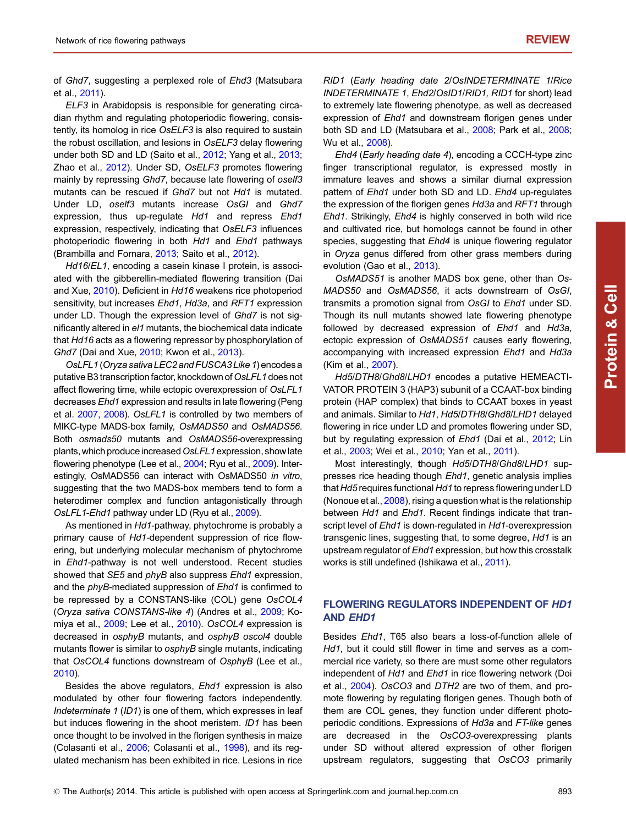of Ghd7, suggesting a perplexed role of Ehd3 (Matsubara et al., [2011](#page-8-0)).

ELF3 in Arabidopsis is responsible for generating circadian rhythm and regulating photoperiodic flowering, consistently, its homolog in rice OsELF3 is also required to sustain the robust oscillation, and lesions in OsELF3 delay flowering under both SD and LD (Saito et al., [2012](#page-9-0); Yang et al., [2013](#page-9-0); Zhao et al., [2012\)](#page-9-0). Under SD, OsELF3 promotes flowering mainly by repressing Ghd7, because late flowering of oself3 mutants can be rescued if Ghd7 but not Hd1 is mutated. Under LD, oself3 mutants increase OsGI and Ghd7 expression, thus up-regulate Hd1 and repress Ehd1 expression, respectively, indicating that OsELF3 influences photoperiodic flowering in both Hd1 and Ehd1 pathways (Brambilla and Fornara, [2013;](#page-7-0) Saito et al., [2012\)](#page-9-0).

Hd16/EL1, encoding a casein kinase I protein, is associated with the gibberellin-mediated flowering transition (Dai and Xue, [2010\)](#page-7-0). Deficient in Hd16 weakens rice photoperiod sensitivity, but increases Ehd1, Hd3a, and RFT1 expression under LD. Though the expression level of Ghd7 is not significantly altered in el1 mutants, the biochemical data indicate that Hd16 acts as a flowering repressor by phosphorylation of Ghd7 (Dai and Xue, [2010;](#page-7-0) Kwon et al., [2013](#page-8-0)).

OsLFL1 (Oryza sativa LEC2 and FUSCA3 Like 1) encodes a putative B3 transcription factor, knockdown of OsLFL1 does not affect flowering time, while ectopic overexpression of OsLFL1 decreases Ehd1 expression and results in late flowering (Peng et al. [2007](#page-8-0), [2008](#page-8-0)). OsLFL1 is controlled by two members of MIKC-type MADS-box family, OsMADS50 and OsMADS56. Both osmads50 mutants and OsMADS56-overexpressing plants, which produce increased OsLFL1 expression, show late flowering phenotype (Lee et al., [2004](#page-8-0); Ryu et al., [2009](#page-8-0)). Interestingly, OsMADS56 can interact with OsMADS50 in vitro, suggesting that the two MADS-box members tend to form a heterodimer complex and function antagonistically through OsLFL1-Ehd1 pathway under LD (Ryu et al., [2009\)](#page-8-0).

As mentioned in Hd1-pathway, phytochrome is probably a primary cause of Hd1-dependent suppression of rice flowering, but underlying molecular mechanism of phytochrome in Ehd1-pathway is not well understood. Recent studies showed that SE5 and *phyB* also suppress Ehd1 expression, and the phyB-mediated suppression of Ehd1 is confirmed to be repressed by a CONSTANS-like (COL) gene OsCOL4 (Oryza sativa CONSTANS-like 4) (Andres et al., [2009](#page-7-0); Komiya et al., [2009;](#page-8-0) Lee et al., [2010](#page-8-0)). OsCOL4 expression is decreased in osphyB mutants, and osphyB oscol4 double mutants flower is similar to *osphyB* single mutants, indicating that OsCOL4 functions downstream of OsphyB (Lee et al., [2010\)](#page-8-0).

Besides the above regulators, Ehd1 expression is also modulated by other four flowering factors independently. Indeterminate 1 (ID1) is one of them, which expresses in leaf but induces flowering in the shoot meristem. ID1 has been once thought to be involved in the florigen synthesis in maize (Colasanti et al., [2006](#page-7-0); Colasanti et al., [1998\)](#page-7-0), and its regulated mechanism has been exhibited in rice. Lesions in rice

RID1 (Early heading date 2/OsINDETERMINATE 1/Rice INDETERMINATE 1, Ehd2/OsID1/RID1, RID1 for short) lead to extremely late flowering phenotype, as well as decreased expression of Ehd1 and downstream florigen genes under both SD and LD (Matsubara et al., [2008](#page-8-0); Park et al., [2008;](#page-8-0) Wu et al., [2008\)](#page-9-0).

Ehd4 (Early heading date 4), encoding a CCCH-type zinc finger transcriptional regulator, is expressed mostly in immature leaves and shows a similar diurnal expression pattern of Ehd1 under both SD and LD. Ehd4 up-regulates the expression of the florigen genes Hd3a and RFT1 through Ehd1. Strikingly, Ehd4 is highly conserved in both wild rice and cultivated rice, but homologs cannot be found in other species, suggesting that Ehd4 is unique flowering regulator in Oryza genus differed from other grass members during evolution (Gao et al., [2013\)](#page-7-0).

OsMADS51 is another MADS box gene, other than Os-MADS50 and OsMADS56, it acts downstream of OsGI, transmits a promotion signal from OsGI to Ehd1 under SD. Though its null mutants showed late flowering phenotype followed by decreased expression of Ehd1 and Hd3a, ectopic expression of OsMADS51 causes early flowering, accompanying with increased expression Ehd1 and Hd3a (Kim et al., [2007\)](#page-8-0).

Hd5/DTH8/Ghd8/LHD1 encodes a putative HEMEACTI-VATOR PROTEIN 3 (HAP3) subunit of a CCAAT-box binding protein (HAP complex) that binds to CCAAT boxes in yeast and animals. Similar to Hd1, Hd5/DTH8/Ghd8/LHD1 delayed flowering in rice under LD and promotes flowering under SD, but by regulating expression of *Ehd1* (Dai et al., [2012](#page-7-0); Lin et al., [2003](#page-8-0); Wei et al., [2010](#page-9-0); Yan et al., [2011\)](#page-9-0).

Most interestingly, though Hd5/DTH8/Ghd8/LHD1 suppresses rice heading though Ehd1, genetic analysis implies that Hd5 requires functional Hd1 to repress flowering under LD (Nonoue et al., [2008](#page-8-0)), rising a question what is the relationship between Hd1 and Ehd1. Recent findings indicate that transcript level of Ehd1 is down-regulated in Hd1-overexpression transgenic lines, suggesting that, to some degree, Hd1 is an upstream regulator of Ehd1 expression, but how this crosstalk works is still undefined (Ishikawa et al., [2011\)](#page-8-0).

# FLOWERING REGULATORS INDEPENDENT OF HD1 AND EHD1

Besides Ehd1, T65 also bears a loss-of-function allele of Hd1, but it could still flower in time and serves as a commercial rice variety, so there are must some other regulators independent of Hd1 and Ehd1 in rice flowering network (Doi et al., [2004](#page-7-0)). OsCO3 and DTH2 are two of them, and promote flowering by regulating florigen genes. Though both of them are COL genes, they function under different photoperiodic conditions. Expressions of Hd3a and FT-like genes are decreased in the OsCO3-overexpressing plants under SD without altered expression of other florigen upstream regulators, suggesting that OsCO3 primarily

Protein

& Cell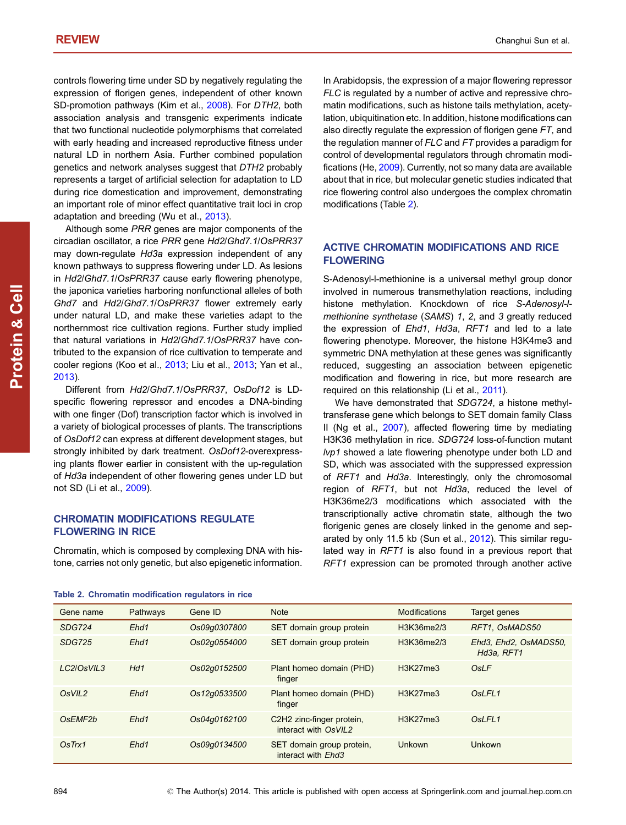controls flowering time under SD by negatively regulating the expression of florigen genes, independent of other known SD-promotion pathways (Kim et al., [2008\)](#page-8-0). For DTH2, both association analysis and transgenic experiments indicate that two functional nucleotide polymorphisms that correlated with early heading and increased reproductive fitness under natural LD in northern Asia. Further combined population genetics and network analyses suggest that DTH2 probably represents a target of artificial selection for adaptation to LD during rice domestication and improvement, demonstrating an important role of minor effect quantitative trait loci in crop adaptation and breeding (Wu et al., [2013\)](#page-9-0).

Although some PRR genes are major components of the circadian oscillator, a rice PRR gene Hd2/Ghd7.1/OsPRR37 may down-regulate Hd3a expression independent of any known pathways to suppress flowering under LD. As lesions in Hd2/Ghd7.1/OsPRR37 cause early flowering phenotype, the japonica varieties harboring nonfunctional alleles of both Ghd7 and Hd2/Ghd7.1/OsPRR37 flower extremely early under natural LD, and make these varieties adapt to the northernmost rice cultivation regions. Further study implied that natural variations in Hd2/Ghd7.1/OsPRR37 have contributed to the expansion of rice cultivation to temperate and cooler regions (Koo et al., [2013;](#page-8-0) Liu et al., [2013](#page-8-0); Yan et al., [2013\)](#page-9-0).

Different from Hd2/Ghd7.1/OsPRR37, OsDof12 is LDspecific flowering repressor and encodes a DNA-binding with one finger (Dof) transcription factor which is involved in a variety of biological processes of plants. The transcriptions of OsDof12 can express at different development stages, but strongly inhibited by dark treatment. OsDof12-overexpressing plants flower earlier in consistent with the up-regulation of Hd3a independent of other flowering genes under LD but not SD (Li et al., [2009](#page-8-0)).

# CHROMATIN MODIFICATIONS REGULATE FLOWERING IN RICE

Chromatin, which is composed by complexing DNA with histone, carries not only genetic, but also epigenetic information. In Arabidopsis, the expression of a major flowering repressor FLC is regulated by a number of active and repressive chromatin modifications, such as histone tails methylation, acetylation, ubiquitination etc. In addition, histone modifications can also directly regulate the expression of florigen gene FT, and the regulation manner of FLC and FT provides a paradigm for control of developmental regulators through chromatin modifications (He, [2009](#page-8-0)). Currently, not so many data are available about that in rice, but molecular genetic studies indicated that rice flowering control also undergoes the complex chromatin modifications (Table 2).

# ACTIVE CHROMATIN MODIFICATIONS AND RICE FLOWERING

S-Adenosyl-l-methionine is a universal methyl group donor involved in numerous transmethylation reactions, including histone methylation. Knockdown of rice S-Adenosyl-lmethionine synthetase (SAMS) 1, 2, and 3 greatly reduced the expression of Ehd1, Hd3a, RFT1 and led to a late flowering phenotype. Moreover, the histone H3K4me3 and symmetric DNA methylation at these genes was significantly reduced, suggesting an association between epigenetic modification and flowering in rice, but more research are required on this relationship (Li et al., [2011](#page-8-0)).

We have demonstrated that SDG724, a histone methyltransferase gene which belongs to SET domain family Class II (Ng et al., [2007](#page-8-0)), affected flowering time by mediating H3K36 methylation in rice. SDG724 loss-of-function mutant lvp1 showed a late flowering phenotype under both LD and SD, which was associated with the suppressed expression of RFT1 and Hd3a. Interestingly, only the chromosomal region of RFT1, but not Hd3a, reduced the level of H3K36me2/3 modifications which associated with the transcriptionally active chromatin state, although the two florigenic genes are closely linked in the genome and separated by only 11.5 kb (Sun et al., [2012\)](#page-9-0). This similar regulated way in RFT1 is also found in a previous report that RFT1 expression can be promoted through another active

| Gene name                        | Pathways | Gene ID      | <b>Note</b>                                       | Modifications | Target genes                        |
|----------------------------------|----------|--------------|---------------------------------------------------|---------------|-------------------------------------|
| <b>SDG724</b>                    | Ehd1     | Os09q0307800 | SET domain group protein                          | H3K36me2/3    | RFT1. OsMADS50                      |
| <b>SDG725</b>                    | Ehd1     | Os02q0554000 | SET domain group protein                          | H3K36me2/3    | Ehd3, Ehd2, OsMADS50,<br>Hd3a, RFT1 |
| LC2/OsVIL3                       | Hd1      | Os02q0152500 | Plant homeo domain (PHD)<br>finger                | H3K27me3      | OsLF                                |
| OsVIL2                           | Ehd1     | Os12q0533500 | Plant homeo domain (PHD)<br>finger                | H3K27me3      | OsLFL <sub>1</sub>                  |
| O <sub>s</sub> EMF <sub>2b</sub> | Ehd1     | Os04q0162100 | C2H2 zinc-finger protein,<br>interact with OsVIL2 | H3K27me3      | O <sub>s</sub> LFL <sub>1</sub>     |
| OsTrx1                           | Ehd1     | Os09q0134500 | SET domain group protein,<br>interact with Ehd3   | Unkown        | Unkown                              |
|                                  |          |              |                                                   |               |                                     |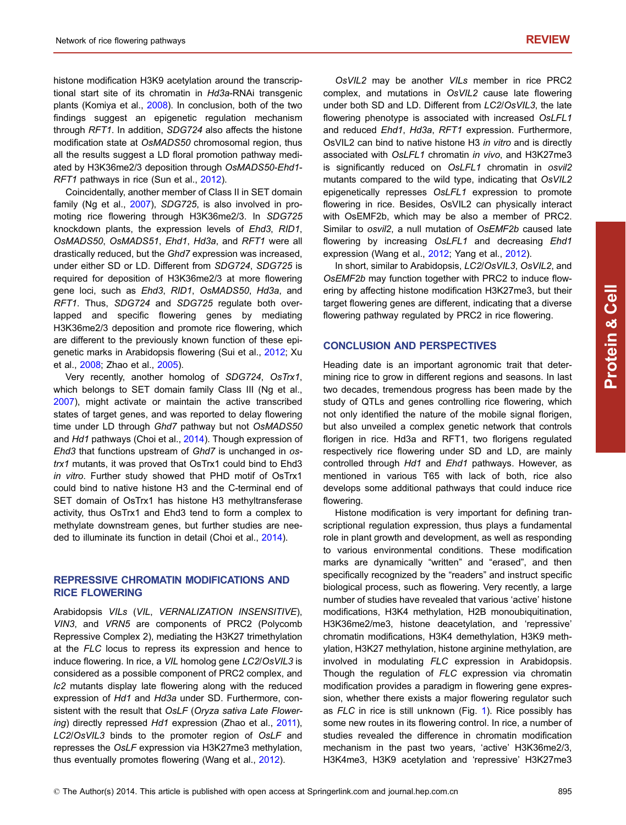histone modification H3K9 acetylation around the transcriptional start site of its chromatin in Hd3a-RNAi transgenic plants (Komiya et al., [2008\)](#page-8-0). In conclusion, both of the two findings suggest an epigenetic regulation mechanism through RFT1. In addition, SDG724 also affects the histone modification state at OsMADS50 chromosomal region, thus all the results suggest a LD floral promotion pathway mediated by H3K36me2/3 deposition through OsMADS50-Ehd1- RFT1 pathways in rice (Sun et al., [2012\)](#page-9-0).

Coincidentally, another member of Class II in SET domain family (Ng et al., [2007\)](#page-8-0), SDG725, is also involved in promoting rice flowering through H3K36me2/3. In SDG725 knockdown plants, the expression levels of Ehd3, RID1, OsMADS50, OsMADS51, Ehd1, Hd3a, and RFT1 were all drastically reduced, but the Ghd7 expression was increased, under either SD or LD. Different from SDG724, SDG725 is required for deposition of H3K36me2/3 at more flowering gene loci, such as Ehd3, RID1, OsMADS50, Hd3a, and RFT1. Thus, SDG724 and SDG725 regulate both overlapped and specific flowering genes by mediating H3K36me2/3 deposition and promote rice flowering, which are different to the previously known function of these epigenetic marks in Arabidopsis flowering (Sui et al., [2012](#page-9-0); Xu et al., [2008;](#page-9-0) Zhao et al., [2005\)](#page-9-0).

Very recently, another homolog of SDG724, OsTrx1, which belongs to SET domain family Class III (Ng et al., [2007\)](#page-8-0), might activate or maintain the active transcribed states of target genes, and was reported to delay flowering time under LD through Ghd7 pathway but not OsMADS50 and Hd1 pathways (Choi et al., [2014\)](#page-7-0). Though expression of Ehd3 that functions upstream of Ghd7 is unchanged in ostrx1 mutants, it was proved that OsTrx1 could bind to Ehd3 in vitro. Further study showed that PHD motif of OsTrx1 could bind to native histone H3 and the C-terminal end of SET domain of OsTrx1 has histone H3 methyltransferase activity, thus OsTrx1 and Ehd3 tend to form a complex to methylate downstream genes, but further studies are needed to illuminate its function in detail (Choi et al., [2014\)](#page-7-0).

#### REPRESSIVE CHROMATIN MODIFICATIONS AND RICE FLOWERING

Arabidopsis VILs (VIL, VERNALIZATION INSENSITIVE), VIN3, and VRN5 are components of PRC2 (Polycomb Repressive Complex 2), mediating the H3K27 trimethylation at the FLC locus to repress its expression and hence to induce flowering. In rice, a VIL homolog gene LC2/OsVIL3 is considered as a possible component of PRC2 complex, and lc2 mutants display late flowering along with the reduced expression of Hd1 and Hd3a under SD. Furthermore, consistent with the result that OsLF (Oryza sativa Late Flower-ing) directly repressed Hd1 expression (Zhao et al., [2011](#page-9-0)), LC2/OsVIL3 binds to the promoter region of OsLF and represses the OsLF expression via H3K27me3 methylation, thus eventually promotes flowering (Wang et al., [2012](#page-9-0)).

OsVIL2 may be another VILs member in rice PRC2 complex, and mutations in OsVIL2 cause late flowering under both SD and LD. Different from LC2/OsVIL3, the late flowering phenotype is associated with increased OsLFL1 and reduced Ehd1, Hd3a, RFT1 expression. Furthermore, OsVIL2 can bind to native histone H3 in vitro and is directly associated with OsLFL1 chromatin in vivo, and H3K27me3 is significantly reduced on OsLFL1 chromatin in osvil2 mutants compared to the wild type, indicating that OsVIL2 epigenetically represses OsLFL1 expression to promote flowering in rice. Besides, OsVIL2 can physically interact with OsEMF2b, which may be also a member of PRC2. Similar to osvil2, a null mutation of OsEMF2b caused late flowering by increasing OsLFL1 and decreasing Ehd1 expression (Wang et al., [2012](#page-9-0); Yang et al., [2012\)](#page-9-0).

In short, similar to Arabidopsis, LC2/OsVIL3, OsVIL2, and OsEMF2b may function together with PRC2 to induce flowering by affecting histone modification H3K27me3, but their target flowering genes are different, indicating that a diverse flowering pathway regulated by PRC2 in rice flowering.

#### CONCLUSION AND PERSPECTIVES

Heading date is an important agronomic trait that determining rice to grow in different regions and seasons. In last two decades, tremendous progress has been made by the study of QTLs and genes controlling rice flowering, which not only identified the nature of the mobile signal florigen, but also unveiled a complex genetic network that controls florigen in rice. Hd3a and RFT1, two florigens regulated respectively rice flowering under SD and LD, are mainly controlled through Hd1 and Ehd1 pathways. However, as mentioned in various T65 with lack of both, rice also develops some additional pathways that could induce rice flowering.

Histone modification is very important for defining transcriptional regulation expression, thus plays a fundamental role in plant growth and development, as well as responding to various environmental conditions. These modification marks are dynamically "written" and "erased", and then specifically recognized by the "readers" and instruct specific biological process, such as flowering. Very recently, a large number of studies have revealed that various 'active' histone modifications, H3K4 methylation, H2B monoubiquitination, H3K36me2/me3, histone deacetylation, and 'repressive' chromatin modifications, H3K4 demethylation, H3K9 methylation, H3K27 methylation, histone arginine methylation, are involved in modulating FLC expression in Arabidopsis. Though the regulation of FLC expression via chromatin modification provides a paradigm in flowering gene expression, whether there exists a major flowering regulator such as FLC in rice is still unknown (Fig. [1](#page-1-0)). Rice possibly has some new routes in its flowering control. In rice, a number of studies revealed the difference in chromatin modification mechanism in the past two years, 'active' H3K36me2/3, H3K4me3, H3K9 acetylation and 'repressive' H3K27me3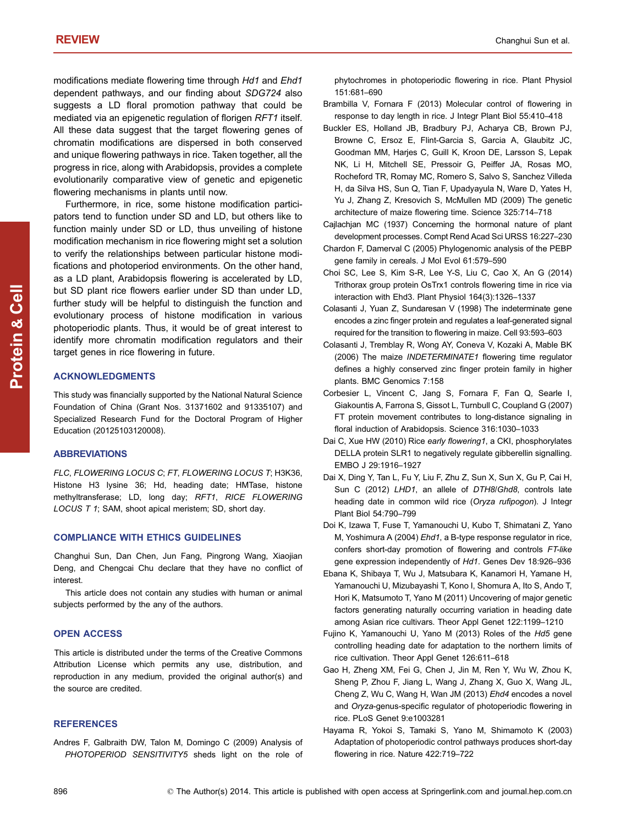<span id="page-7-0"></span>modifications mediate flowering time through Hd1 and Ehd1 dependent pathways, and our finding about SDG724 also suggests a LD floral promotion pathway that could be mediated via an epigenetic regulation of florigen RFT1 itself. All these data suggest that the target flowering genes of chromatin modifications are dispersed in both conserved and unique flowering pathways in rice. Taken together, all the progress in rice, along with Arabidopsis, provides a complete evolutionarily comparative view of genetic and epigenetic flowering mechanisms in plants until now.

Furthermore, in rice, some histone modification participators tend to function under SD and LD, but others like to function mainly under SD or LD, thus unveiling of histone modification mechanism in rice flowering might set a solution to verify the relationships between particular histone modifications and photoperiod environments. On the other hand, as a LD plant, Arabidopsis flowering is accelerated by LD, but SD plant rice flowers earlier under SD than under LD, further study will be helpful to distinguish the function and evolutionary process of histone modification in various photoperiodic plants. Thus, it would be of great interest to identify more chromatin modification regulators and their target genes in rice flowering in future.

#### ACKNOWLEDGMENTS

This study was financially supported by the National Natural Science Foundation of China (Grant Nos. 31371602 and 91335107) and Specialized Research Fund for the Doctoral Program of Higher Education (20125103120008).

#### **ABBREVIATIONS**

FLC, FLOWERING LOCUS C; FT, FLOWERING LOCUS T; H3K36, Histone H3 lysine 36; Hd, heading date; HMTase, histone methyltransferase; LD, long day; RFT1, RICE FLOWERING LOCUS T 1; SAM, shoot apical meristem; SD, short day.

#### COMPLIANCE WITH ETHICS GUIDELINES

Changhui Sun, Dan Chen, Jun Fang, Pingrong Wang, Xiaojian Deng, and Chengcai Chu declare that they have no conflict of interest.

This article does not contain any studies with human or animal subjects performed by the any of the authors.

#### OPEN ACCESS

This article is distributed under the terms of the Creative Commons Attribution License which permits any use, distribution, and reproduction in any medium, provided the original author(s) and the source are credited.

#### **REFERENCES**

Andres F, Galbraith DW, Talon M, Domingo C (2009) Analysis of PHOTOPERIOD SENSITIVITY5 sheds light on the role of phytochromes in photoperiodic flowering in rice. Plant Physiol 151:681–690

- Brambilla V, Fornara F (2013) Molecular control of flowering in response to day length in rice. J Integr Plant Biol 55:410–418
- Buckler ES, Holland JB, Bradbury PJ, Acharya CB, Brown PJ, Browne C, Ersoz E, Flint-Garcia S, Garcia A, Glaubitz JC, Goodman MM, Harjes C, Guill K, Kroon DE, Larsson S, Lepak NK, Li H, Mitchell SE, Pressoir G, Peiffer JA, Rosas MO, Rocheford TR, Romay MC, Romero S, Salvo S, Sanchez Villeda H, da Silva HS, Sun Q, Tian F, Upadyayula N, Ware D, Yates H, Yu J, Zhang Z, Kresovich S, McMullen MD (2009) The genetic architecture of maize flowering time. Science 325:714–718
- Cajlachjan MC (1937) Concerning the hormonal nature of plant development processes. Compt Rend Acad Sci URSS 16:227–230
- Chardon F, Damerval C (2005) Phylogenomic analysis of the PEBP gene family in cereals. J Mol Evol 61:579–590
- Choi SC, Lee S, Kim S-R, Lee Y-S, Liu C, Cao X, An G (2014) Trithorax group protein OsTrx1 controls flowering time in rice via interaction with Ehd3. Plant Physiol 164(3):1326–1337
- Colasanti J, Yuan Z, Sundaresan V (1998) The indeterminate gene encodes a zinc finger protein and regulates a leaf-generated signal required for the transition to flowering in maize. Cell 93:593–603
- Colasanti J, Tremblay R, Wong AY, Coneva V, Kozaki A, Mable BK (2006) The maize INDETERMINATE1 flowering time regulator defines a highly conserved zinc finger protein family in higher plants. BMC Genomics 7:158
- Corbesier L, Vincent C, Jang S, Fornara F, Fan Q, Searle I, Giakountis A, Farrona S, Gissot L, Turnbull C, Coupland G (2007) FT protein movement contributes to long-distance signaling in floral induction of Arabidopsis. Science 316:1030–1033
- Dai C, Xue HW (2010) Rice early flowering1, a CKI, phosphorylates DELLA protein SLR1 to negatively regulate gibberellin signalling. EMBO J 29:1916–1927
- Dai X, Ding Y, Tan L, Fu Y, Liu F, Zhu Z, Sun X, Sun X, Gu P, Cai H, Sun C (2012) LHD1, an allele of DTH8/Ghd8, controls late heading date in common wild rice (Oryza rufipogon). J Integr Plant Biol 54:790–799
- Doi K, Izawa T, Fuse T, Yamanouchi U, Kubo T, Shimatani Z, Yano M, Yoshimura A (2004) Ehd1, a B-type response regulator in rice, confers short-day promotion of flowering and controls FT-like gene expression independently of Hd1. Genes Dev 18:926–936
- Ebana K, Shibaya T, Wu J, Matsubara K, Kanamori H, Yamane H, Yamanouchi U, Mizubayashi T, Kono I, Shomura A, Ito S, Ando T, Hori K, Matsumoto T, Yano M (2011) Uncovering of major genetic factors generating naturally occurring variation in heading date among Asian rice cultivars. Theor Appl Genet 122:1199–1210
- Fujino K, Yamanouchi U, Yano M (2013) Roles of the Hd5 gene controlling heading date for adaptation to the northern limits of rice cultivation. Theor Appl Genet 126:611–618
- Gao H, Zheng XM, Fei G, Chen J, Jin M, Ren Y, Wu W, Zhou K, Sheng P, Zhou F, Jiang L, Wang J, Zhang X, Guo X, Wang JL, Cheng Z, Wu C, Wang H, Wan JM (2013) Ehd4 encodes a novel and Oryza-genus-specific regulator of photoperiodic flowering in rice. PLoS Genet 9:e1003281
- Hayama R, Yokoi S, Tamaki S, Yano M, Shimamoto K (2003) Adaptation of photoperiodic control pathways produces short-day flowering in rice. Nature 422:719–722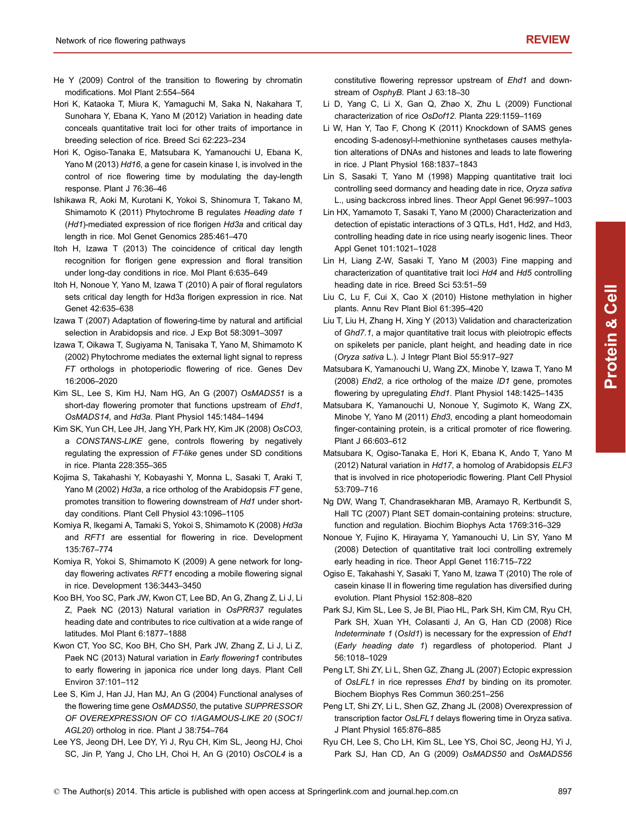- <span id="page-8-0"></span>He Y (2009) Control of the transition to flowering by chromatin modifications. Mol Plant 2:554–564
- Hori K, Kataoka T, Miura K, Yamaguchi M, Saka N, Nakahara T, Sunohara Y, Ebana K, Yano M (2012) Variation in heading date conceals quantitative trait loci for other traits of importance in breeding selection of rice. Breed Sci 62:223–234
- Hori K, Ogiso-Tanaka E, Matsubara K, Yamanouchi U, Ebana K, Yano M (2013) Hd16, a gene for casein kinase I, is involved in the control of rice flowering time by modulating the day-length response. Plant J 76:36–46
- Ishikawa R, Aoki M, Kurotani K, Yokoi S, Shinomura T, Takano M, Shimamoto K (2011) Phytochrome B regulates Heading date 1 (Hd1)-mediated expression of rice florigen Hd3a and critical day length in rice. Mol Genet Genomics 285:461–470
- Itoh H, Izawa T (2013) The coincidence of critical day length recognition for florigen gene expression and floral transition under long-day conditions in rice. Mol Plant 6:635–649
- Itoh H, Nonoue Y, Yano M, Izawa T (2010) A pair of floral regulators sets critical day length for Hd3a florigen expression in rice. Nat Genet 42:635–638
- Izawa T (2007) Adaptation of flowering-time by natural and artificial selection in Arabidopsis and rice. J Exp Bot 58:3091–3097
- Izawa T, Oikawa T, Sugiyama N, Tanisaka T, Yano M, Shimamoto K (2002) Phytochrome mediates the external light signal to repress FT orthologs in photoperiodic flowering of rice. Genes Dev 16:2006–2020
- Kim SL, Lee S, Kim HJ, Nam HG, An G (2007) OsMADS51 is a short-day flowering promoter that functions upstream of Ehd1, OsMADS14, and Hd3a. Plant Physiol 145:1484–1494
- Kim SK, Yun CH, Lee JH, Jang YH, Park HY, Kim JK (2008) OsCO3, a CONSTANS-LIKE gene, controls flowering by negatively regulating the expression of FT-like genes under SD conditions in rice. Planta 228:355–365
- Kojima S, Takahashi Y, Kobayashi Y, Monna L, Sasaki T, Araki T, Yano M (2002) Hd3a, a rice ortholog of the Arabidopsis FT gene, promotes transition to flowering downstream of Hd1 under shortday conditions. Plant Cell Physiol 43:1096–1105
- Komiya R, Ikegami A, Tamaki S, Yokoi S, Shimamoto K (2008) Hd3a and RFT1 are essential for flowering in rice. Development 135:767–774
- Komiya R, Yokoi S, Shimamoto K (2009) A gene network for longday flowering activates RFT1 encoding a mobile flowering signal in rice. Development 136:3443–3450
- Koo BH, Yoo SC, Park JW, Kwon CT, Lee BD, An G, Zhang Z, Li J, Li Z, Paek NC (2013) Natural variation in OsPRR37 regulates heading date and contributes to rice cultivation at a wide range of latitudes. Mol Plant 6:1877–1888
- Kwon CT, Yoo SC, Koo BH, Cho SH, Park JW, Zhang Z, Li J, Li Z, Paek NC (2013) Natural variation in Early flowering1 contributes to early flowering in japonica rice under long days. Plant Cell Environ 37:101–112
- Lee S, Kim J, Han JJ, Han MJ, An G (2004) Functional analyses of the flowering time gene OsMADS50, the putative SUPPRESSOR OF OVEREXPRESSION OF CO 1/AGAMOUS-LIKE 20 (SOC1/ AGL20) ortholog in rice. Plant J 38:754–764
- Lee YS, Jeong DH, Lee DY, Yi J, Ryu CH, Kim SL, Jeong HJ, Choi SC, Jin P, Yang J, Cho LH, Choi H, An G (2010) OsCOL4 is a

constitutive flowering repressor upstream of Ehd1 and downstream of OsphyB. Plant J 63:18–30

- Li D, Yang C, Li X, Gan Q, Zhao X, Zhu L (2009) Functional characterization of rice OsDof12. Planta 229:1159–1169
- Li W, Han Y, Tao F, Chong K (2011) Knockdown of SAMS genes encoding S-adenosyl-l-methionine synthetases causes methylation alterations of DNAs and histones and leads to late flowering in rice. J Plant Physiol 168:1837–1843
- Lin S, Sasaki T, Yano M (1998) Mapping quantitative trait loci controlling seed dormancy and heading date in rice, Oryza sativa L., using backcross inbred lines. Theor Appl Genet 96:997–1003
- Lin HX, Yamamoto T, Sasaki T, Yano M (2000) Characterization and detection of epistatic interactions of 3 QTLs, Hd1, Hd2, and Hd3, controlling heading date in rice using nearly isogenic lines. Theor Appl Genet 101:1021–1028
- Lin H, Liang Z-W, Sasaki T, Yano M (2003) Fine mapping and characterization of quantitative trait loci Hd4 and Hd5 controlling heading date in rice. Breed Sci 53:51–59
- Liu C, Lu F, Cui X, Cao X (2010) Histone methylation in higher plants. Annu Rev Plant Biol 61:395–420
- Liu T, Liu H, Zhang H, Xing Y (2013) Validation and characterization of Ghd7.1, a major quantitative trait locus with pleiotropic effects on spikelets per panicle, plant height, and heading date in rice (Oryza sativa L.). J Integr Plant Biol 55:917–927
- Matsubara K, Yamanouchi U, Wang ZX, Minobe Y, Izawa T, Yano M (2008) Ehd2, a rice ortholog of the maize ID1 gene, promotes flowering by upregulating Ehd1. Plant Physiol 148:1425–1435
- Matsubara K, Yamanouchi U, Nonoue Y, Sugimoto K, Wang ZX, Minobe Y, Yano M (2011) Ehd3, encoding a plant homeodomain finger-containing protein, is a critical promoter of rice flowering. Plant J 66:603–612
- Matsubara K, Ogiso-Tanaka E, Hori K, Ebana K, Ando T, Yano M (2012) Natural variation in Hd17, a homolog of Arabidopsis ELF3 that is involved in rice photoperiodic flowering. Plant Cell Physiol 53:709–716
- Ng DW, Wang T, Chandrasekharan MB, Aramayo R, Kertbundit S, Hall TC (2007) Plant SET domain-containing proteins: structure, function and regulation. Biochim Biophys Acta 1769:316–329
- Nonoue Y, Fujino K, Hirayama Y, Yamanouchi U, Lin SY, Yano M (2008) Detection of quantitative trait loci controlling extremely early heading in rice. Theor Appl Genet 116:715–722
- Ogiso E, Takahashi Y, Sasaki T, Yano M, Izawa T (2010) The role of casein kinase II in flowering time regulation has diversified during evolution. Plant Physiol 152:808–820
- Park SJ, Kim SL, Lee S, Je BI, Piao HL, Park SH, Kim CM, Ryu CH, Park SH, Xuan YH, Colasanti J, An G, Han CD (2008) Rice Indeterminate 1 (OsId1) is necessary for the expression of Ehd1 (Early heading date 1) regardless of photoperiod. Plant J 56:1018–1029
- Peng LT, Shi ZY, Li L, Shen GZ, Zhang JL (2007) Ectopic expression of OsLFL1 in rice represses Ehd1 by binding on its promoter. Biochem Biophys Res Commun 360:251–256
- Peng LT, Shi ZY, Li L, Shen GZ, Zhang JL (2008) Overexpression of transcription factor OsLFL1 delays flowering time in Oryza sativa. J Plant Physiol 165:876–885
- Ryu CH, Lee S, Cho LH, Kim SL, Lee YS, Choi SC, Jeong HJ, Yi J, Park SJ, Han CD, An G (2009) OsMADS50 and OsMADS56